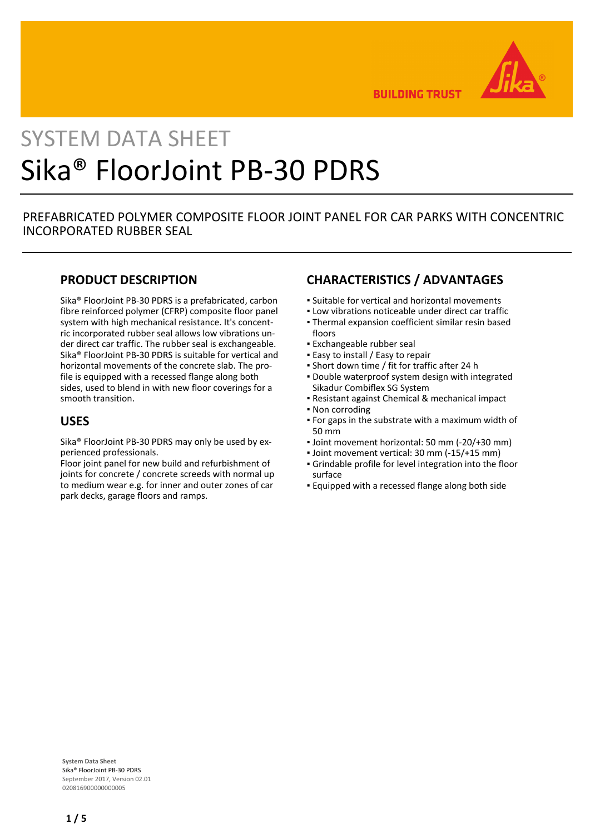

**BUILDING TRUST** 

# SYSTEM DATA SHEET Sika® FloorJoint PB-30 PDRS

## PREFABRICATED POLYMER COMPOSITE FLOOR JOINT PANEL FOR CAR PARKS WITH CONCENTRIC INCORPORATED RUBBER SEAL

## **PRODUCT DESCRIPTION**

Sika® FloorJoint PB-30 PDRS is a prefabricated, carbon fibre reinforced polymer (CFRP) composite floor panel system with high mechanical resistance. It's concentric incorporated rubber seal allows low vibrations under direct car traffic. The rubber seal is exchangeable. Sika® FloorJoint PB-30 PDRS is suitable for vertical and horizontal movements of the concrete slab. The profile is equipped with a recessed flange along both sides, used to blend in with new floor coverings for a smooth transition.

## **USES**

Sika® FloorJoint PB-30 PDRS may only be used by experienced professionals.

Floor joint panel for new build and refurbishment of joints for concrete / concrete screeds with normal up to medium wear e.g. for inner and outer zones of car park decks, garage floors and ramps.

## **CHARACTERISTICS / ADVANTAGES**

- Suitable for vertical and horizontal movements
- **.** Low vibrations noticeable under direct car traffic
- Thermal expansion coefficient similar resin based floors
- Exchangeable rubber seal
- **Easy to install / Easy to repair**
- Short down time / fit for traffic after 24 h
- Double waterproof system design with integrated Sikadur Combiflex SG System
- Resistant against Chemical & mechanical impact
- Non corroding
- For gaps in the substrate with a maximum width of 50 mm
- Joint movement horizontal: 50 mm (-20/+30 mm)
- Joint movement vertical: 30 mm (-15/+15 mm)
- Grindable profile for level integration into the floor surface
- **Equipped with a recessed flange along both side**

**System Data Sheet** Sika® FloorJoint PB-30 PDRS September 2017, Version 02.01 020816900000000005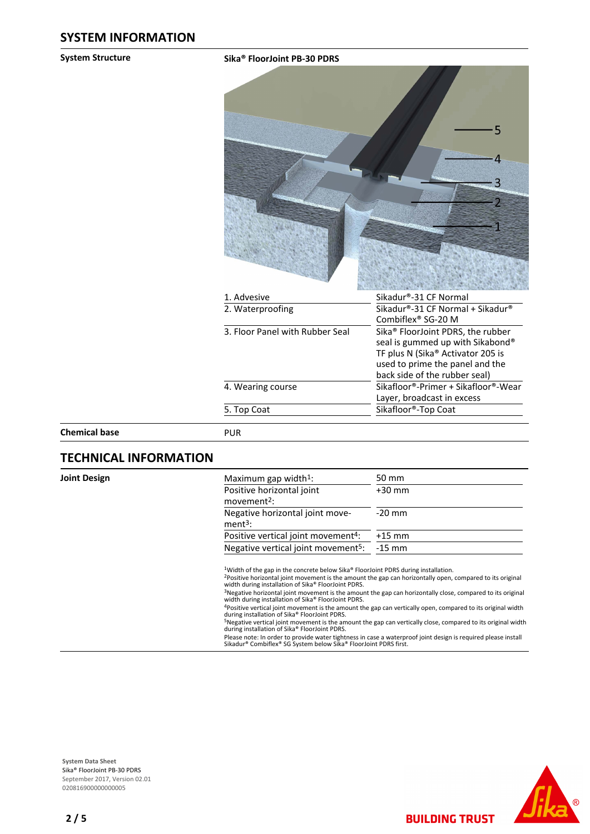#### **System Structure Sika® FloorJoint PB-30 PDRS**



| 1. Advesive                     | Sikadur®-31 CF Normal                         |  |
|---------------------------------|-----------------------------------------------|--|
| 2. Waterproofing                | Sikadur®-31 CF Normal + Sikadur®              |  |
|                                 | Combiflex <sup>®</sup> SG-20 M                |  |
| 3. Floor Panel with Rubber Seal | Sika <sup>®</sup> FloorJoint PDRS, the rubber |  |
|                                 | seal is gummed up with Sikabond®              |  |
|                                 | TF plus N (Sika® Activator 205 is             |  |
|                                 | used to prime the panel and the               |  |
|                                 | back side of the rubber seal)                 |  |
| 4. Wearing course               | Sikafloor®-Primer + Sikafloor®-Wear           |  |
|                                 | Layer, broadcast in excess                    |  |
| 5. Top Coat                     | Sikafloor®-Top Coat                           |  |
|                                 |                                               |  |

**Chemical base** PUR

## **TECHNICAL INFORMATION**

**Joint Design** 

| Maximum gap width <sup>1</sup> :                     | 50 mm    |
|------------------------------------------------------|----------|
| Positive horizontal joint<br>movement <sup>2</sup> : | $+30$ mm |
| Negative horizontal joint move-<br>$ment3$ :         | $-20$ mm |
| Positive vertical joint movement <sup>4</sup> :      | $+15$ mm |
| Negative vertical joint movement <sup>5</sup> :      | $-15$ mm |

<sup>1</sup>Width of the gap in the concrete below Sika® FloorJoint PDRS during installation.

<sup>2</sup>Positive horizontal joint movement is the amount the gap can horizontally open, compared to its original width during installation of Sika® FloorJoint PDRS.<br><sup>3</sup>Negative horizontal joint movement is the amount the gap c

<sup>5</sup>Negative vertical joint movement is the amount the gap can vertically close, compared to its original width during installation of Sika® FloorJoint PDRS.

Please note: In order to provide water tightness in case a waterproof joint design is required please install Sikadur® Combiflex® SG System below Sika® FloorJoint PDRS first.



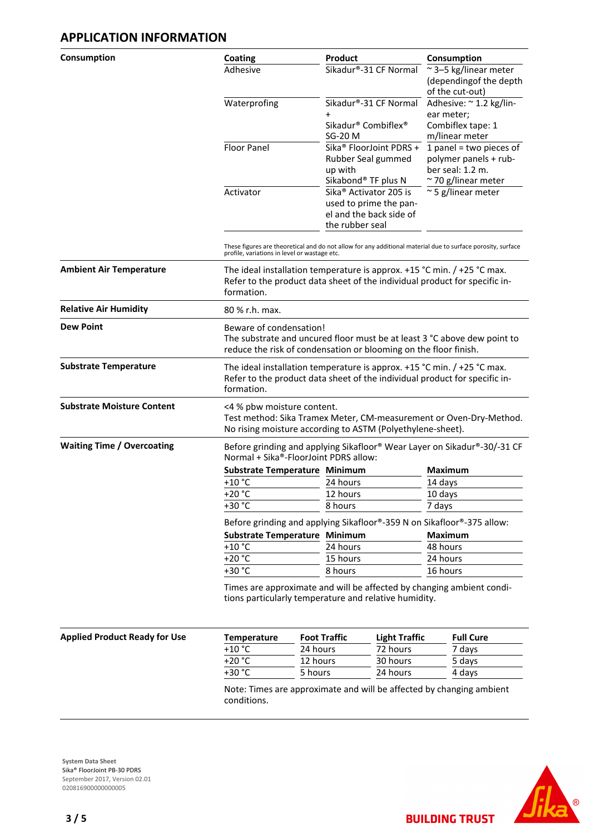## **APPLICATION INFORMATION**

| Consumption                          | Coating                                                                                                                        | <b>Product</b>                                                                                                            | Consumption                                            |  |  |  |
|--------------------------------------|--------------------------------------------------------------------------------------------------------------------------------|---------------------------------------------------------------------------------------------------------------------------|--------------------------------------------------------|--|--|--|
|                                      | Adhesive                                                                                                                       | Sikadur®-31 CF Normal                                                                                                     | ~3-5 kg/linear meter                                   |  |  |  |
|                                      |                                                                                                                                |                                                                                                                           | (dependingof the depth                                 |  |  |  |
|                                      | Waterprofing                                                                                                                   | Sikadur®-31 CF Normal                                                                                                     | of the cut-out)<br>Adhesive: ~ 1.2 kg/lin-             |  |  |  |
|                                      |                                                                                                                                |                                                                                                                           | ear meter;                                             |  |  |  |
|                                      |                                                                                                                                | Sikadur <sup>®</sup> Combiflex <sup>®</sup>                                                                               | Combiflex tape: 1                                      |  |  |  |
|                                      |                                                                                                                                | SG-20 M                                                                                                                   | m/linear meter                                         |  |  |  |
|                                      | <b>Floor Panel</b>                                                                                                             | Sika <sup>®</sup> FloorJoint PDRS +                                                                                       | $1$ panel = two pieces of                              |  |  |  |
|                                      |                                                                                                                                | Rubber Seal gummed                                                                                                        | polymer panels + rub-                                  |  |  |  |
|                                      |                                                                                                                                | up with                                                                                                                   | ber seal: 1.2 m.                                       |  |  |  |
|                                      | Activator                                                                                                                      | Sikabond® TF plus N<br>Sika <sup>®</sup> Activator 205 is                                                                 | $\sim$ 70 g/linear meter<br>$\approx$ 5 g/linear meter |  |  |  |
|                                      |                                                                                                                                | used to prime the pan-                                                                                                    |                                                        |  |  |  |
|                                      |                                                                                                                                | el and the back side of                                                                                                   |                                                        |  |  |  |
|                                      |                                                                                                                                | the rubber seal                                                                                                           |                                                        |  |  |  |
|                                      |                                                                                                                                |                                                                                                                           |                                                        |  |  |  |
|                                      | profile, variations in level or wastage etc.                                                                                   | These figures are theoretical and do not allow for any additional material due to surface porosity, surface               |                                                        |  |  |  |
| <b>Ambient Air Temperature</b>       |                                                                                                                                | The ideal installation temperature is approx. $+15$ °C min. $/ +25$ °C max.                                               |                                                        |  |  |  |
|                                      |                                                                                                                                | Refer to the product data sheet of the individual product for specific in-                                                |                                                        |  |  |  |
|                                      | formation.                                                                                                                     |                                                                                                                           |                                                        |  |  |  |
| <b>Relative Air Humidity</b>         | 80 % r.h. max.                                                                                                                 |                                                                                                                           |                                                        |  |  |  |
| <b>Dew Point</b>                     |                                                                                                                                | Beware of condensation!                                                                                                   |                                                        |  |  |  |
|                                      | The substrate and uncured floor must be at least 3 °C above dew point to                                                       |                                                                                                                           |                                                        |  |  |  |
|                                      |                                                                                                                                | reduce the risk of condensation or blooming on the floor finish.                                                          |                                                        |  |  |  |
| <b>Substrate Temperature</b>         | The ideal installation temperature is approx. $+15$ °C min. $/ +25$ °C max.                                                    |                                                                                                                           |                                                        |  |  |  |
|                                      | Refer to the product data sheet of the individual product for specific in-                                                     |                                                                                                                           |                                                        |  |  |  |
|                                      | formation.                                                                                                                     |                                                                                                                           |                                                        |  |  |  |
| <b>Substrate Moisture Content</b>    | <4 % pbw moisture content.                                                                                                     |                                                                                                                           |                                                        |  |  |  |
|                                      |                                                                                                                                | Test method: Sika Tramex Meter, CM-measurement or Oven-Dry-Method.                                                        |                                                        |  |  |  |
|                                      |                                                                                                                                | No rising moisture according to ASTM (Polyethylene-sheet).                                                                |                                                        |  |  |  |
| <b>Waiting Time / Overcoating</b>    | Normal + Sika®-FloorJoint PDRS allow:                                                                                          | Before grinding and applying Sikafloor® Wear Layer on Sikadur®-30/-31 CF                                                  |                                                        |  |  |  |
|                                      | <b>Substrate Temperature Minimum</b>                                                                                           |                                                                                                                           | <b>Maximum</b>                                         |  |  |  |
|                                      | $+10 °C$                                                                                                                       | 24 hours                                                                                                                  | 14 days                                                |  |  |  |
|                                      | $+20 °C$                                                                                                                       | 12 hours                                                                                                                  | 10 days                                                |  |  |  |
|                                      | $+30 °C$                                                                                                                       | 8 hours                                                                                                                   | 7 days                                                 |  |  |  |
|                                      |                                                                                                                                |                                                                                                                           |                                                        |  |  |  |
|                                      |                                                                                                                                | Before grinding and applying Sikafloor®-359 N on Sikafloor®-375 allow:<br>Substrate Temperature Minimum<br><b>Maximum</b> |                                                        |  |  |  |
|                                      | $+10$ °C                                                                                                                       | 24 hours                                                                                                                  | 48 hours                                               |  |  |  |
|                                      | $+20 °C$                                                                                                                       | 15 hours                                                                                                                  | 24 hours                                               |  |  |  |
|                                      | +30 °C                                                                                                                         | 8 hours                                                                                                                   | 16 hours                                               |  |  |  |
|                                      |                                                                                                                                |                                                                                                                           |                                                        |  |  |  |
|                                      | Times are approximate and will be affected by changing ambient condi-<br>tions particularly temperature and relative humidity. |                                                                                                                           |                                                        |  |  |  |
|                                      |                                                                                                                                |                                                                                                                           |                                                        |  |  |  |
|                                      |                                                                                                                                |                                                                                                                           |                                                        |  |  |  |
| <b>Applied Product Ready for Use</b> | Temperature                                                                                                                    | <b>Foot Traffic</b><br><b>Light Traffic</b>                                                                               | <b>Full Cure</b>                                       |  |  |  |

| t Ready for Use | Temperature | <b>Foot Traffic</b> | Light Traffic | <b>Full Cure</b> |
|-----------------|-------------|---------------------|---------------|------------------|
|                 | $+10 °C$    | 24 hours            | 72 hours      | 7 days           |
|                 | $+20 °C$    | 12 hours            | 30 hours      | 5 days           |
|                 | $+30 °C$    | 5 hours             | 24 hours      | 4 days           |

Note: Times are approximate and will be affected by changing ambient conditions.



**BUILDING TRUST** 

**System Data Sheet** Sika® FloorJoint PB-30 PDRS September 2017, Version 02.01 0208169000000000005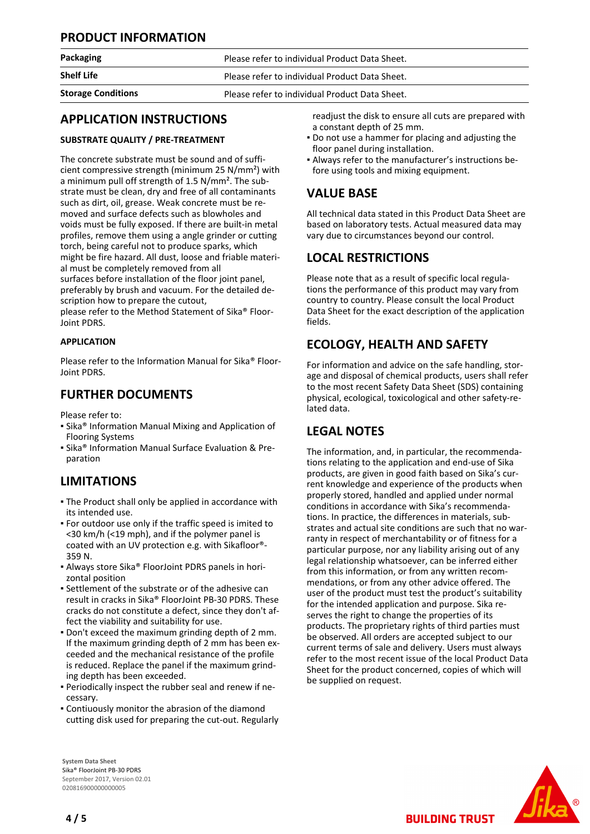## **PRODUCT INFORMATION**

| Packaging                 | Please refer to individual Product Data Sheet. |  |
|---------------------------|------------------------------------------------|--|
| <b>Shelf Life</b>         | Please refer to individual Product Data Sheet. |  |
| <b>Storage Conditions</b> | Please refer to individual Product Data Sheet. |  |
|                           |                                                |  |

## **APPLICATION INSTRUCTIONS**

## **SUBSTRATE QUALITY / PRE-TREATMENT**

The concrete substrate must be sound and of sufficient compressive strength (minimum 25 N/mm²) with a minimum pull off strength of 1.5 N/mm². The substrate must be clean, dry and free of all contaminants such as dirt, oil, grease. Weak concrete must be removed and surface defects such as blowholes and voids must be fully exposed. If there are built-in metal profiles, remove them using a angle grinder or cutting torch, being careful not to produce sparks, which might be fire hazard. All dust, loose and friable material must be completely removed from all surfaces before installation of the floor joint panel, preferably by brush and vacuum. For the detailed description how to prepare the cutout,

please refer to the Method Statement of Sika® Floor-Joint PDRS.

## **APPLICATION**

Please refer to the Information Manual for Sika® Floor-Joint PDRS.

## **FURTHER DOCUMENTS**

Please refer to:

- **Examps Information Manual Mixing and Application of** Flooring Systems
- **E** Sika<sup>®</sup> Information Manual Surface Evaluation & Preparation

## **LIMITATIONS**

- **The Product shall only be applied in accordance with** its intended use.
- For outdoor use only if the traffic speed is imited to <30 km/h (<19 mph), and if the polymer panel is coated with an UV protection e.g. with Sikafloor®- 359 N.
- Always store Sika® FloorJoint PDRS panels in hori-▪ zontal position
- Settlement of the substrate or of the adhesive can result in cracks in Sika® FloorJoint PB-30 PDRS. These cracks do not constitute a defect, since they don't affect the viability and suitability for use.
- Don't exceed the maximum grinding depth of 2 mm. If the maximum grinding depth of 2 mm has been exceeded and the mechanical resistance of the profile is reduced. Replace the panel if the maximum grinding depth has been exceeded.
- Periodically inspect the rubber seal and renew if ne-▪ cessary.
- Contiuously monitor the abrasion of the diamond cutting disk used for preparing the cut-out. Regularly

**System Data Sheet** Sika® FloorJoint PB-30 PDRS September 2017, Version 02.01 020816900000000005

readjust the disk to ensure all cuts are prepared with a constant depth of 25 mm.

- Do not use a hammer for placing and adjusting the floor panel during installation.
- Always refer to the manufacturer's instructions be-▪ fore using tools and mixing equipment.

## **VALUE BASE**

All technical data stated in this Product Data Sheet are based on laboratory tests. Actual measured data may vary due to circumstances beyond our control.

## **LOCAL RESTRICTIONS**

Please note that as a result of specific local regulations the performance of this product may vary from country to country. Please consult the local Product Data Sheet for the exact description of the application fields.

# **ECOLOGY, HEALTH AND SAFETY**

For information and advice on the safe handling, storage and disposal of chemical products, users shall refer to the most recent Safety Data Sheet (SDS) containing physical, ecological, toxicological and other safety-related data.

# **LEGAL NOTES**

The information, and, in particular, the recommendations relating to the application and end-use of Sika products, are given in good faith based on Sika's current knowledge and experience of the products when properly stored, handled and applied under normal conditions in accordance with Sika's recommendations. In practice, the differences in materials, substrates and actual site conditions are such that no warranty in respect of merchantability or of fitness for a particular purpose, nor any liability arising out of any legal relationship whatsoever, can be inferred either from this information, or from any written recommendations, or from any other advice offered. The user of the product must test the product's suitability for the intended application and purpose. Sika reserves the right to change the properties of its products. The proprietary rights of third parties must be observed. All orders are accepted subject to our current terms of sale and delivery. Users must always refer to the most recent issue of the local Product Data Sheet for the product concerned, copies of which will be supplied on request.

**BUILDING TRUST**